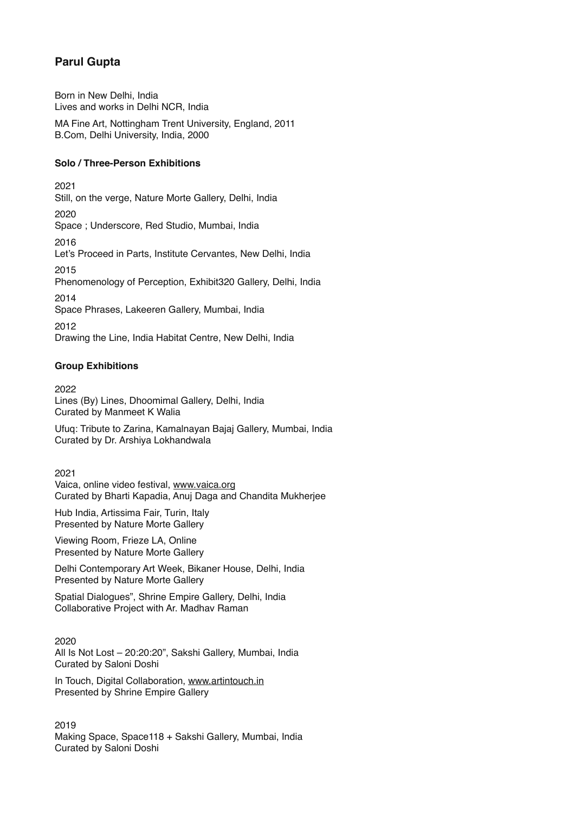# **Parul Gupta**

Born in New Delhi, India Lives and works in Delhi NCR, India MA Fine Art, Nottingham Trent University, England, 2011 B.Com, Delhi University, India, 2000

## **Solo / Three-Person Exhibitions**

2021 Still, on the verge, Nature Morte Gallery, Delhi, India 2020 Space ; Underscore, Red Studio, Mumbai, India 2016 Let's Proceed in Parts, Institute Cervantes, New Delhi, India 2015 Phenomenology of Perception, Exhibit320 Gallery, Delhi, India 2014 Space Phrases, Lakeeren Gallery, Mumbai, India 2012 Drawing the Line, India Habitat Centre, New Delhi, India

# **Group Exhibitions**

2022 Lines (By) Lines, Dhoomimal Gallery, Delhi, India Curated by Manmeet K Walia

Ufuq: Tribute to Zarina, Kamalnayan Bajaj Gallery, Mumbai, India Curated by Dr. Arshiya Lokhandwala

2021 Vaica, online video festival, [www.vaica.org](https://vaica.org/) Curated by Bharti Kapadia, Anuj Daga and Chandita Mukherjee

Hub India, Artissima Fair, Turin, Italy Presented by Nature Morte Gallery

Viewing Room, Frieze LA, Online Presented by Nature Morte Gallery

Delhi Contemporary Art Week, Bikaner House, Delhi, India Presented by Nature Morte Gallery

Spatial Dialogues", Shrine Empire Gallery, Delhi, India Collaborative Project with Ar. Madhav Raman

2020 All Is Not Lost – 20:20:20", Sakshi Gallery, Mumbai, India Curated by Saloni Doshi

In Touch, Digital Collaboration, [www.artintouch.in](https://www.artintouch.in/) Presented by Shrine Empire Gallery

2019 Making Space, Space118 + Sakshi Gallery, Mumbai, India Curated by Saloni Doshi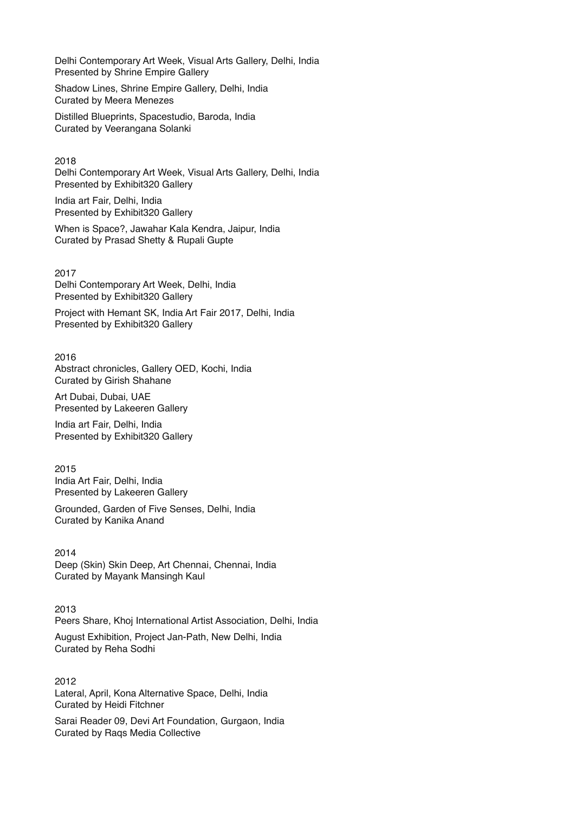Delhi Contemporary Art Week, Visual Arts Gallery, Delhi, India Presented by Shrine Empire Gallery

Shadow Lines, Shrine Empire Gallery, Delhi, India Curated by Meera Menezes

Distilled Blueprints, Spacestudio, Baroda, India Curated by Veerangana Solanki

2018 Delhi Contemporary Art Week, Visual Arts Gallery, Delhi, India Presented by Exhibit320 Gallery

India art Fair, Delhi, India Presented by Exhibit320 Gallery

When is Space?, Jawahar Kala Kendra, Jaipur, India Curated by Prasad Shetty & Rupali Gupte

2017 Delhi Contemporary Art Week, Delhi, India Presented by Exhibit320 Gallery

Project with Hemant SK, India Art Fair 2017, Delhi, India Presented by Exhibit320 Gallery

2016 Abstract chronicles, Gallery OED, Kochi, India Curated by Girish Shahane

Art Dubai, Dubai, UAE Presented by Lakeeren Gallery

India art Fair, Delhi, India Presented by Exhibit320 Gallery

2015 India Art Fair, Delhi, India Presented by Lakeeren Gallery

Grounded, Garden of Five Senses, Delhi, India Curated by Kanika Anand

2014 Deep (Skin) Skin Deep, Art Chennai, Chennai, India Curated by Mayank Mansingh Kaul

2013 Peers Share, Khoj International Artist Association, Delhi, India

August Exhibition, Project Jan-Path, New Delhi, India Curated by Reha Sodhi

2012 Lateral, April, Kona Alternative Space, Delhi, India Curated by Heidi Fitchner

Sarai Reader 09, Devi Art Foundation, Gurgaon, India Curated by Raqs Media Collective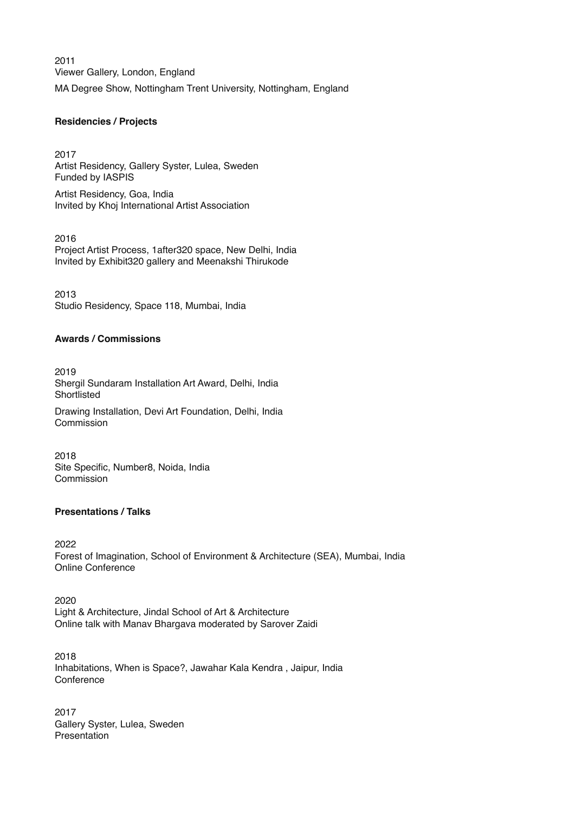2011 Viewer Gallery, London, England MA Degree Show, Nottingham Trent University, Nottingham, England

#### **Residencies / Projects**

2017 Artist Residency, Gallery Syster, Lulea, Sweden Funded by IASPIS

Artist Residency, Goa, India Invited by Khoj International Artist Association

2016 Project Artist Process, 1after320 space, New Delhi, India Invited by Exhibit320 gallery and Meenakshi Thirukode

2013 Studio Residency, Space 118, Mumbai, India

#### **Awards / Commissions**

2019 Shergil Sundaram Installation Art Award, Delhi, India Shortlisted Drawing Installation, Devi Art Foundation, Delhi, India Commission

2018 Site Specific, Number8, Noida, India Commission

#### **Presentations / Talks**

2022 Forest of Imagination, School of Environment & Architecture (SEA), Mumbai, India Online Conference

2020 Light & Architecture, Jindal School of Art & Architecture Online talk with Manav Bhargava moderated by Sarover Zaidi

2018 Inhabitations, When is Space?, Jawahar Kala Kendra , Jaipur, India **Conference** 

2017 Gallery Syster, Lulea, Sweden Presentation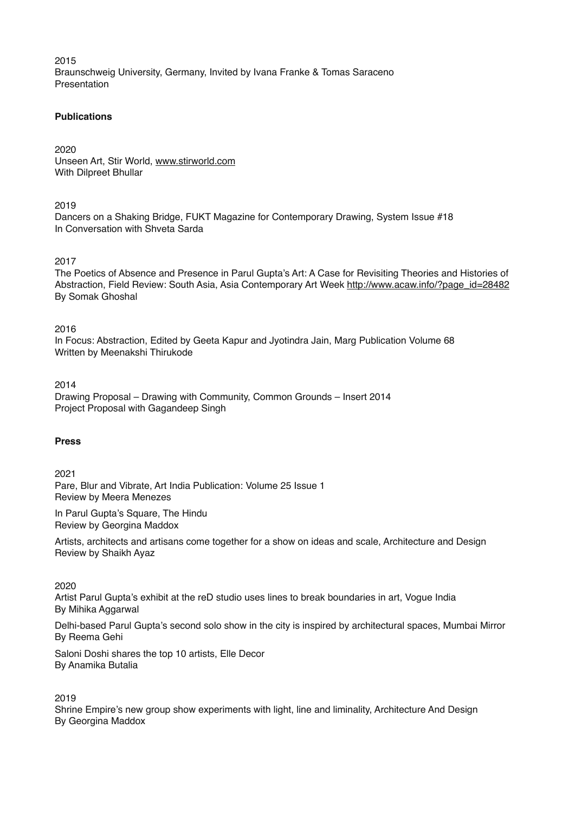2015 Braunschweig University, Germany, Invited by Ivana Franke & Tomas Saraceno Presentation

### **Publications**

2020 Unseen Art, Stir World, [www.stirworld.com](https://www.stirworld.com/) With Dilpreet Bhullar

2019

Dancers on a Shaking Bridge, FUKT Magazine for Contemporary Drawing, System Issue #18 In Conversation with Shveta Sarda

2017

The Poetics of Absence and Presence in Parul Gupta's Art: A Case for Revisiting Theories and Histories of Abstraction, Field Review: South Asia, Asia Contemporary Art Week [http://www.acaw.info/?page\\_id=28482](http://www.acaw.info/?page_id=28482) By Somak Ghoshal

2016

In Focus: Abstraction, Edited by Geeta Kapur and Jyotindra Jain, Marg Publication Volume 68 Written by Meenakshi Thirukode

2014

Drawing Proposal – Drawing with Community, Common Grounds – Insert 2014 Project Proposal with Gagandeep Singh

## **Press**

2021

Pare, Blur and Vibrate, Art India Publication: Volume 25 Issue 1 Review by Meera Menezes

In Parul Gupta's Square, The Hindu Review by Georgina Maddox

Artists, architects and artisans come together for a show on ideas and scale, Architecture and Design Review by Shaikh Ayaz

2020

Artist Parul Gupta's exhibit at the reD studio uses lines to break boundaries in art, Vogue India By Mihika Aggarwal

Delhi-based Parul Gupta's second solo show in the city is inspired by architectural spaces, Mumbai Mirror By Reema Gehi

Saloni Doshi shares the top 10 artists, Elle Decor By Anamika Butalia

2019

Shrine Empire's new group show experiments with light, line and liminality, Architecture And Design By Georgina Maddox